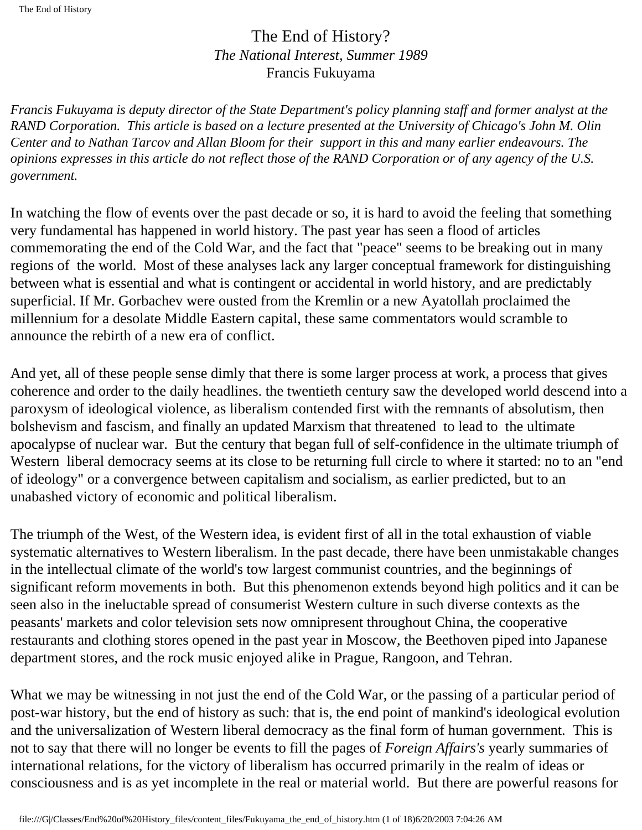## The End of History? *The National Interest, Summer 1989* Francis Fukuyama

*Francis Fukuyama is deputy director of the State Department's policy planning staff and former analyst at the RAND Corporation. This article is based on a lecture presented at the University of Chicago's John M. Olin Center and to Nathan Tarcov and Allan Bloom for their support in this and many earlier endeavours. The opinions expresses in this article do not reflect those of the RAND Corporation or of any agency of the U.S. government.*

In watching the flow of events over the past decade or so, it is hard to avoid the feeling that something very fundamental has happened in world history. The past year has seen a flood of articles commemorating the end of the Cold War, and the fact that "peace" seems to be breaking out in many regions of the world. Most of these analyses lack any larger conceptual framework for distinguishing between what is essential and what is contingent or accidental in world history, and are predictably superficial. If Mr. Gorbachev were ousted from the Kremlin or a new Ayatollah proclaimed the millennium for a desolate Middle Eastern capital, these same commentators would scramble to announce the rebirth of a new era of conflict.

And yet, all of these people sense dimly that there is some larger process at work, a process that gives coherence and order to the daily headlines. the twentieth century saw the developed world descend into a paroxysm of ideological violence, as liberalism contended first with the remnants of absolutism, then bolshevism and fascism, and finally an updated Marxism that threatened to lead to the ultimate apocalypse of nuclear war. But the century that began full of self-confidence in the ultimate triumph of Western liberal democracy seems at its close to be returning full circle to where it started: no to an "end of ideology" or a convergence between capitalism and socialism, as earlier predicted, but to an unabashed victory of economic and political liberalism.

The triumph of the West, of the Western idea, is evident first of all in the total exhaustion of viable systematic alternatives to Western liberalism. In the past decade, there have been unmistakable changes in the intellectual climate of the world's tow largest communist countries, and the beginnings of significant reform movements in both. But this phenomenon extends beyond high politics and it can be seen also in the ineluctable spread of consumerist Western culture in such diverse contexts as the peasants' markets and color television sets now omnipresent throughout China, the cooperative restaurants and clothing stores opened in the past year in Moscow, the Beethoven piped into Japanese department stores, and the rock music enjoyed alike in Prague, Rangoon, and Tehran.

What we may be witnessing in not just the end of the Cold War, or the passing of a particular period of post-war history, but the end of history as such: that is, the end point of mankind's ideological evolution and the universalization of Western liberal democracy as the final form of human government. This is not to say that there will no longer be events to fill the pages of *Foreign Affairs's* yearly summaries of international relations, for the victory of liberalism has occurred primarily in the realm of ideas or consciousness and is as yet incomplete in the real or material world. But there are powerful reasons for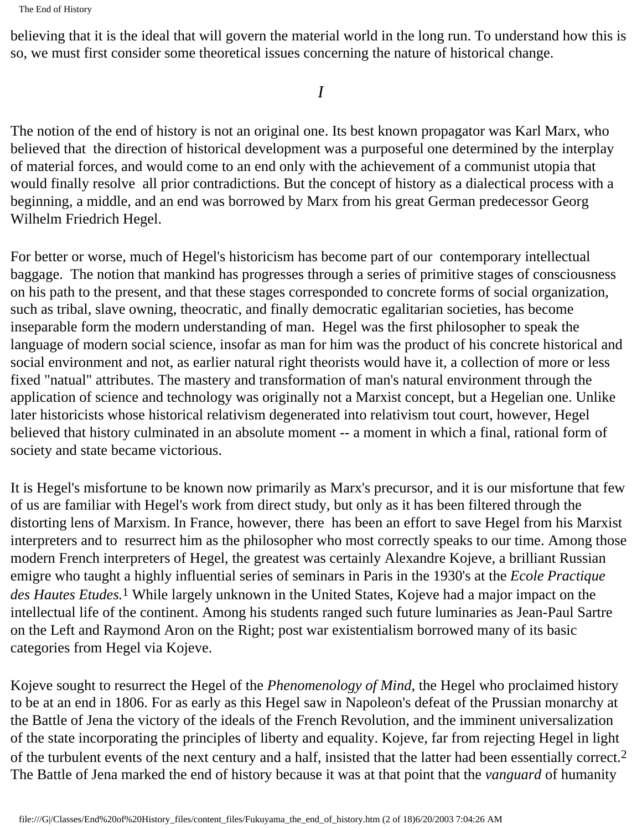The End of History

believing that it is the ideal that will govern the material world in the long run. To understand how this is so, we must first consider some theoretical issues concerning the nature of historical change.

## *I*

The notion of the end of history is not an original one. Its best known propagator was Karl Marx, who believed that the direction of historical development was a purposeful one determined by the interplay of material forces, and would come to an end only with the achievement of a communist utopia that would finally resolve all prior contradictions. But the concept of history as a dialectical process with a beginning, a middle, and an end was borrowed by Marx from his great German predecessor Georg Wilhelm Friedrich Hegel.

For better or worse, much of Hegel's historicism has become part of our contemporary intellectual baggage. The notion that mankind has progresses through a series of primitive stages of consciousness on his path to the present, and that these stages corresponded to concrete forms of social organization, such as tribal, slave owning, theocratic, and finally democratic egalitarian societies, has become inseparable form the modern understanding of man. Hegel was the first philosopher to speak the language of modern social science, insofar as man for him was the product of his concrete historical and social environment and not, as earlier natural right theorists would have it, a collection of more or less fixed "natual" attributes. The mastery and transformation of man's natural environment through the application of science and technology was originally not a Marxist concept, but a Hegelian one. Unlike later historicists whose historical relativism degenerated into relativism tout court, however, Hegel believed that history culminated in an absolute moment -- a moment in which a final, rational form of society and state became victorious.

It is Hegel's misfortune to be known now primarily as Marx's precursor, and it is our misfortune that few of us are familiar with Hegel's work from direct study, but only as it has been filtered through the distorting lens of Marxism. In France, however, there has been an effort to save Hegel from his Marxist interpreters and to resurrect him as the philosopher who most correctly speaks to our time. Among those modern French interpreters of Hegel, the greatest was certainly Alexandre Kojeve, a brilliant Russian emigre who taught a highly influential series of seminars in Paris in the 1930's at the *Ecole Practique des Hautes Etudes.*1 While largely unknown in the United States, Kojeve had a major impact on the intellectual life of the continent. Among his students ranged such future luminaries as Jean-Paul Sartre on the Left and Raymond Aron on the Right; post war existentialism borrowed many of its basic categories from Hegel via Kojeve.

Kojeve sought to resurrect the Hegel of the *Phenomenology of Mind*, the Hegel who proclaimed history to be at an end in 1806. For as early as this Hegel saw in Napoleon's defeat of the Prussian monarchy at the Battle of Jena the victory of the ideals of the French Revolution, and the imminent universalization of the state incorporating the principles of liberty and equality. Kojeve, far from rejecting Hegel in light of the turbulent events of the next century and a half, insisted that the latter had been essentially correct.2 The Battle of Jena marked the end of history because it was at that point that the *vanguard* of humanity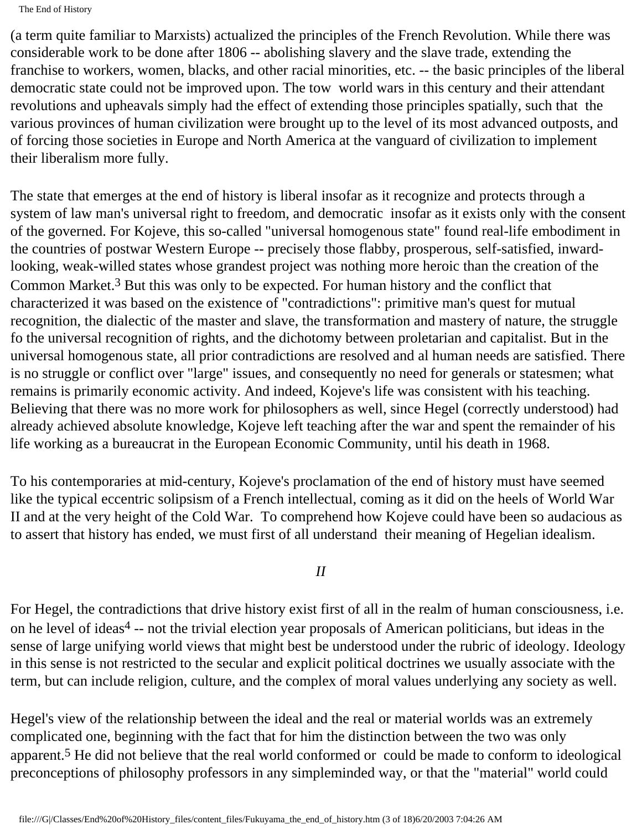The End of History

(a term quite familiar to Marxists) actualized the principles of the French Revolution. While there was considerable work to be done after 1806 -- abolishing slavery and the slave trade, extending the franchise to workers, women, blacks, and other racial minorities, etc. -- the basic principles of the liberal democratic state could not be improved upon. The tow world wars in this century and their attendant revolutions and upheavals simply had the effect of extending those principles spatially, such that the various provinces of human civilization were brought up to the level of its most advanced outposts, and of forcing those societies in Europe and North America at the vanguard of civilization to implement their liberalism more fully.

The state that emerges at the end of history is liberal insofar as it recognize and protects through a system of law man's universal right to freedom, and democratic insofar as it exists only with the consent of the governed. For Kojeve, this so-called "universal homogenous state" found real-life embodiment in the countries of postwar Western Europe -- precisely those flabby, prosperous, self-satisfied, inwardlooking, weak-willed states whose grandest project was nothing more heroic than the creation of the Common Market.3 But this was only to be expected. For human history and the conflict that characterized it was based on the existence of "contradictions": primitive man's quest for mutual recognition, the dialectic of the master and slave, the transformation and mastery of nature, the struggle fo the universal recognition of rights, and the dichotomy between proletarian and capitalist. But in the universal homogenous state, all prior contradictions are resolved and al human needs are satisfied. There is no struggle or conflict over "large" issues, and consequently no need for generals or statesmen; what remains is primarily economic activity. And indeed, Kojeve's life was consistent with his teaching. Believing that there was no more work for philosophers as well, since Hegel (correctly understood) had already achieved absolute knowledge, Kojeve left teaching after the war and spent the remainder of his life working as a bureaucrat in the European Economic Community, until his death in 1968.

To his contemporaries at mid-century, Kojeve's proclamation of the end of history must have seemed like the typical eccentric solipsism of a French intellectual, coming as it did on the heels of World War II and at the very height of the Cold War. To comprehend how Kojeve could have been so audacious as to assert that history has ended, we must first of all understand their meaning of Hegelian idealism.

## *II*

For Hegel, the contradictions that drive history exist first of all in the realm of human consciousness, i.e. on he level of ideas<sup>4</sup> -- not the trivial election year proposals of American politicians, but ideas in the sense of large unifying world views that might best be understood under the rubric of ideology. Ideology in this sense is not restricted to the secular and explicit political doctrines we usually associate with the term, but can include religion, culture, and the complex of moral values underlying any society as well.

Hegel's view of the relationship between the ideal and the real or material worlds was an extremely complicated one, beginning with the fact that for him the distinction between the two was only apparent.5 He did not believe that the real world conformed or could be made to conform to ideological preconceptions of philosophy professors in any simpleminded way, or that the "material" world could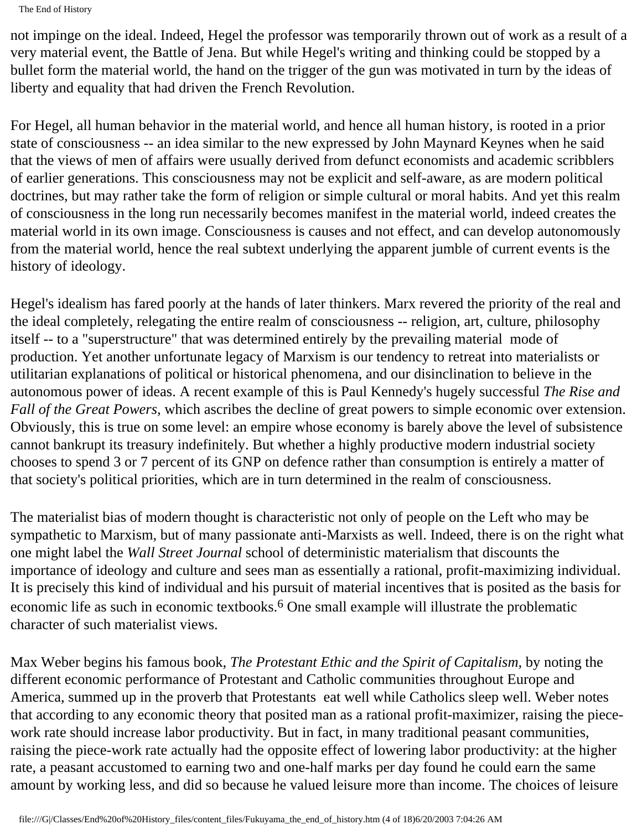The End of History

not impinge on the ideal. Indeed, Hegel the professor was temporarily thrown out of work as a result of a very material event, the Battle of Jena. But while Hegel's writing and thinking could be stopped by a bullet form the material world, the hand on the trigger of the gun was motivated in turn by the ideas of liberty and equality that had driven the French Revolution.

For Hegel, all human behavior in the material world, and hence all human history, is rooted in a prior state of consciousness -- an idea similar to the new expressed by John Maynard Keynes when he said that the views of men of affairs were usually derived from defunct economists and academic scribblers of earlier generations. This consciousness may not be explicit and self-aware, as are modern political doctrines, but may rather take the form of religion or simple cultural or moral habits. And yet this realm of consciousness in the long run necessarily becomes manifest in the material world, indeed creates the material world in its own image. Consciousness is causes and not effect, and can develop autonomously from the material world, hence the real subtext underlying the apparent jumble of current events is the history of ideology.

Hegel's idealism has fared poorly at the hands of later thinkers. Marx revered the priority of the real and the ideal completely, relegating the entire realm of consciousness -- religion, art, culture, philosophy itself -- to a "superstructure" that was determined entirely by the prevailing material mode of production. Yet another unfortunate legacy of Marxism is our tendency to retreat into materialists or utilitarian explanations of political or historical phenomena, and our disinclination to believe in the autonomous power of ideas. A recent example of this is Paul Kennedy's hugely successful *The Rise and Fall of the Great Powers,* which ascribes the decline of great powers to simple economic over extension. Obviously, this is true on some level: an empire whose economy is barely above the level of subsistence cannot bankrupt its treasury indefinitely. But whether a highly productive modern industrial society chooses to spend 3 or 7 percent of its GNP on defence rather than consumption is entirely a matter of that society's political priorities, which are in turn determined in the realm of consciousness.

The materialist bias of modern thought is characteristic not only of people on the Left who may be sympathetic to Marxism, but of many passionate anti-Marxists as well. Indeed, there is on the right what one might label the *Wall Street Journal* school of deterministic materialism that discounts the importance of ideology and culture and sees man as essentially a rational, profit-maximizing individual. It is precisely this kind of individual and his pursuit of material incentives that is posited as the basis for economic life as such in economic textbooks.<sup>6</sup> One small example will illustrate the problematic character of such materialist views.

Max Weber begins his famous book, *The Protestant Ethic and the Spirit of Capitalism,* by noting the different economic performance of Protestant and Catholic communities throughout Europe and America, summed up in the proverb that Protestants eat well while Catholics sleep well. Weber notes that according to any economic theory that posited man as a rational profit-maximizer, raising the piecework rate should increase labor productivity. But in fact, in many traditional peasant communities, raising the piece-work rate actually had the opposite effect of lowering labor productivity: at the higher rate, a peasant accustomed to earning two and one-half marks per day found he could earn the same amount by working less, and did so because he valued leisure more than income. The choices of leisure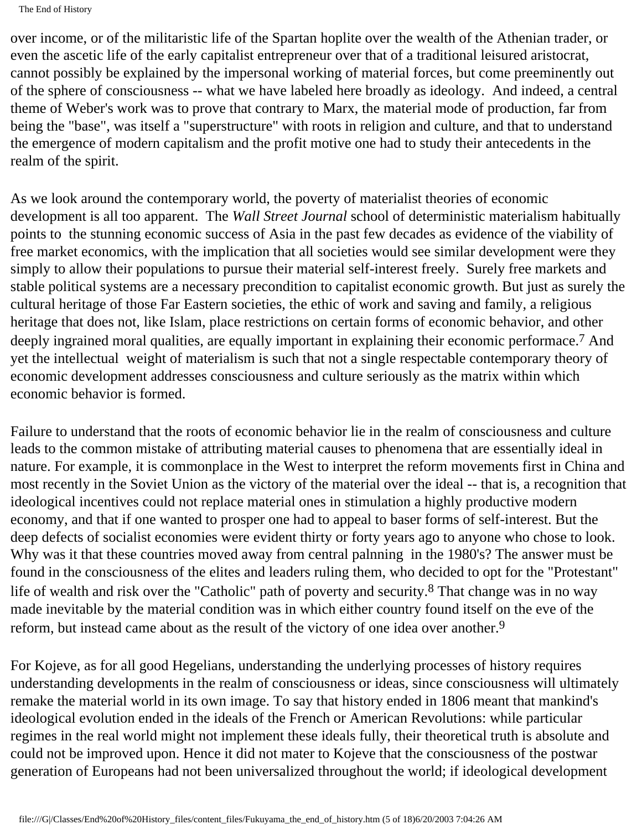The End of History

over income, or of the militaristic life of the Spartan hoplite over the wealth of the Athenian trader, or even the ascetic life of the early capitalist entrepreneur over that of a traditional leisured aristocrat, cannot possibly be explained by the impersonal working of material forces, but come preeminently out of the sphere of consciousness -- what we have labeled here broadly as ideology. And indeed, a central theme of Weber's work was to prove that contrary to Marx, the material mode of production, far from being the "base", was itself a "superstructure" with roots in religion and culture, and that to understand the emergence of modern capitalism and the profit motive one had to study their antecedents in the realm of the spirit.

As we look around the contemporary world, the poverty of materialist theories of economic development is all too apparent. The *Wall Street Journal* school of deterministic materialism habitually points to the stunning economic success of Asia in the past few decades as evidence of the viability of free market economics, with the implication that all societies would see similar development were they simply to allow their populations to pursue their material self-interest freely. Surely free markets and stable political systems are a necessary precondition to capitalist economic growth. But just as surely the cultural heritage of those Far Eastern societies, the ethic of work and saving and family, a religious heritage that does not, like Islam, place restrictions on certain forms of economic behavior, and other deeply ingrained moral qualities, are equally important in explaining their economic performace.<sup>7</sup> And yet the intellectual weight of materialism is such that not a single respectable contemporary theory of economic development addresses consciousness and culture seriously as the matrix within which economic behavior is formed.

Failure to understand that the roots of economic behavior lie in the realm of consciousness and culture leads to the common mistake of attributing material causes to phenomena that are essentially ideal in nature. For example, it is commonplace in the West to interpret the reform movements first in China and most recently in the Soviet Union as the victory of the material over the ideal -- that is, a recognition that ideological incentives could not replace material ones in stimulation a highly productive modern economy, and that if one wanted to prosper one had to appeal to baser forms of self-interest. But the deep defects of socialist economies were evident thirty or forty years ago to anyone who chose to look. Why was it that these countries moved away from central palnning in the 1980's? The answer must be found in the consciousness of the elites and leaders ruling them, who decided to opt for the "Protestant" life of wealth and risk over the "Catholic" path of poverty and security.<sup>8</sup> That change was in no way made inevitable by the material condition was in which either country found itself on the eve of the reform, but instead came about as the result of the victory of one idea over another.9

For Kojeve, as for all good Hegelians, understanding the underlying processes of history requires understanding developments in the realm of consciousness or ideas, since consciousness will ultimately remake the material world in its own image. To say that history ended in 1806 meant that mankind's ideological evolution ended in the ideals of the French or American Revolutions: while particular regimes in the real world might not implement these ideals fully, their theoretical truth is absolute and could not be improved upon. Hence it did not mater to Kojeve that the consciousness of the postwar generation of Europeans had not been universalized throughout the world; if ideological development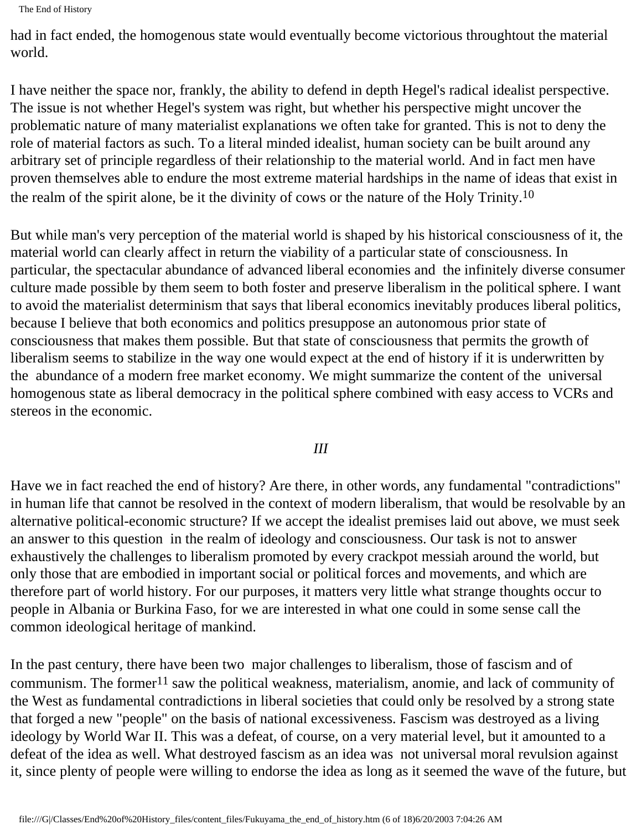The End of History

had in fact ended, the homogenous state would eventually become victorious throughtout the material world.

I have neither the space nor, frankly, the ability to defend in depth Hegel's radical idealist perspective. The issue is not whether Hegel's system was right, but whether his perspective might uncover the problematic nature of many materialist explanations we often take for granted. This is not to deny the role of material factors as such. To a literal minded idealist, human society can be built around any arbitrary set of principle regardless of their relationship to the material world. And in fact men have proven themselves able to endure the most extreme material hardships in the name of ideas that exist in the realm of the spirit alone, be it the divinity of cows or the nature of the Holy Trinity.<sup>10</sup>

But while man's very perception of the material world is shaped by his historical consciousness of it, the material world can clearly affect in return the viability of a particular state of consciousness. In particular, the spectacular abundance of advanced liberal economies and the infinitely diverse consumer culture made possible by them seem to both foster and preserve liberalism in the political sphere. I want to avoid the materialist determinism that says that liberal economics inevitably produces liberal politics, because I believe that both economics and politics presuppose an autonomous prior state of consciousness that makes them possible. But that state of consciousness that permits the growth of liberalism seems to stabilize in the way one would expect at the end of history if it is underwritten by the abundance of a modern free market economy. We might summarize the content of the universal homogenous state as liberal democracy in the political sphere combined with easy access to VCRs and stereos in the economic.

## *III*

Have we in fact reached the end of history? Are there, in other words, any fundamental "contradictions" in human life that cannot be resolved in the context of modern liberalism, that would be resolvable by an alternative political-economic structure? If we accept the idealist premises laid out above, we must seek an answer to this question in the realm of ideology and consciousness. Our task is not to answer exhaustively the challenges to liberalism promoted by every crackpot messiah around the world, but only those that are embodied in important social or political forces and movements, and which are therefore part of world history. For our purposes, it matters very little what strange thoughts occur to people in Albania or Burkina Faso, for we are interested in what one could in some sense call the common ideological heritage of mankind.

In the past century, there have been two major challenges to liberalism, those of fascism and of communism. The former<sup>11</sup> saw the political weakness, materialism, anomie, and lack of community of the West as fundamental contradictions in liberal societies that could only be resolved by a strong state that forged a new "people" on the basis of national excessiveness. Fascism was destroyed as a living ideology by World War II. This was a defeat, of course, on a very material level, but it amounted to a defeat of the idea as well. What destroyed fascism as an idea was not universal moral revulsion against it, since plenty of people were willing to endorse the idea as long as it seemed the wave of the future, but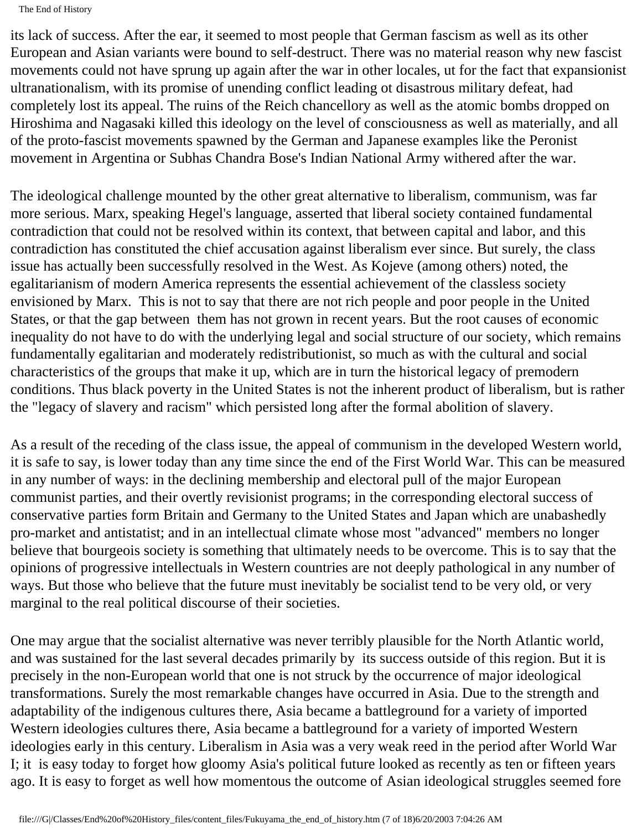The End of History

its lack of success. After the ear, it seemed to most people that German fascism as well as its other European and Asian variants were bound to self-destruct. There was no material reason why new fascist movements could not have sprung up again after the war in other locales, ut for the fact that expansionist ultranationalism, with its promise of unending conflict leading ot disastrous military defeat, had completely lost its appeal. The ruins of the Reich chancellory as well as the atomic bombs dropped on Hiroshima and Nagasaki killed this ideology on the level of consciousness as well as materially, and all of the proto-fascist movements spawned by the German and Japanese examples like the Peronist movement in Argentina or Subhas Chandra Bose's Indian National Army withered after the war.

The ideological challenge mounted by the other great alternative to liberalism, communism, was far more serious. Marx, speaking Hegel's language, asserted that liberal society contained fundamental contradiction that could not be resolved within its context, that between capital and labor, and this contradiction has constituted the chief accusation against liberalism ever since. But surely, the class issue has actually been successfully resolved in the West. As Kojeve (among others) noted, the egalitarianism of modern America represents the essential achievement of the classless society envisioned by Marx. This is not to say that there are not rich people and poor people in the United States, or that the gap between them has not grown in recent years. But the root causes of economic inequality do not have to do with the underlying legal and social structure of our society, which remains fundamentally egalitarian and moderately redistributionist, so much as with the cultural and social characteristics of the groups that make it up, which are in turn the historical legacy of premodern conditions. Thus black poverty in the United States is not the inherent product of liberalism, but is rather the "legacy of slavery and racism" which persisted long after the formal abolition of slavery.

As a result of the receding of the class issue, the appeal of communism in the developed Western world, it is safe to say, is lower today than any time since the end of the First World War. This can be measured in any number of ways: in the declining membership and electoral pull of the major European communist parties, and their overtly revisionist programs; in the corresponding electoral success of conservative parties form Britain and Germany to the United States and Japan which are unabashedly pro-market and antistatist; and in an intellectual climate whose most "advanced" members no longer believe that bourgeois society is something that ultimately needs to be overcome. This is to say that the opinions of progressive intellectuals in Western countries are not deeply pathological in any number of ways. But those who believe that the future must inevitably be socialist tend to be very old, or very marginal to the real political discourse of their societies.

One may argue that the socialist alternative was never terribly plausible for the North Atlantic world, and was sustained for the last several decades primarily by its success outside of this region. But it is precisely in the non-European world that one is not struck by the occurrence of major ideological transformations. Surely the most remarkable changes have occurred in Asia. Due to the strength and adaptability of the indigenous cultures there, Asia became a battleground for a variety of imported Western ideologies cultures there, Asia became a battleground for a variety of imported Western ideologies early in this century. Liberalism in Asia was a very weak reed in the period after World War I; it is easy today to forget how gloomy Asia's political future looked as recently as ten or fifteen years ago. It is easy to forget as well how momentous the outcome of Asian ideological struggles seemed fore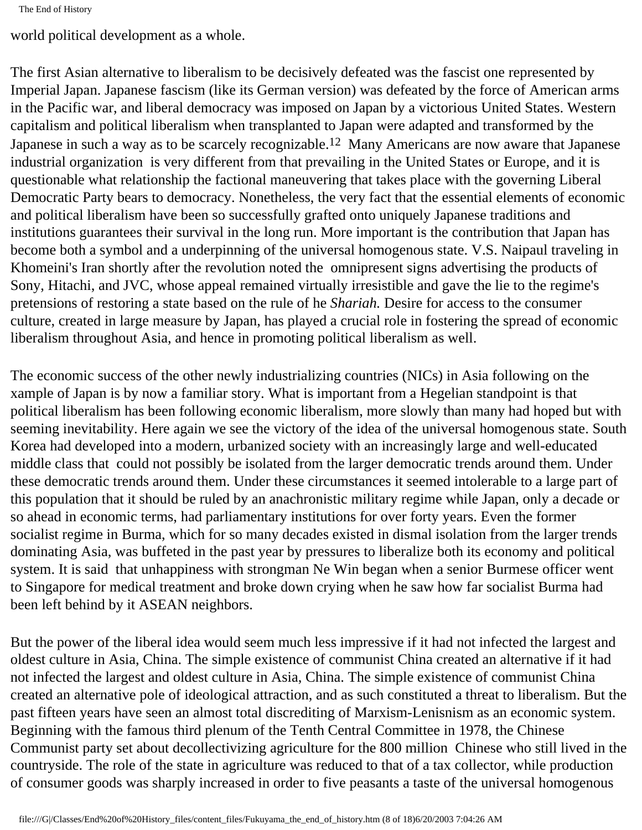The End of History

world political development as a whole.

The first Asian alternative to liberalism to be decisively defeated was the fascist one represented by Imperial Japan. Japanese fascism (like its German version) was defeated by the force of American arms in the Pacific war, and liberal democracy was imposed on Japan by a victorious United States. Western capitalism and political liberalism when transplanted to Japan were adapted and transformed by the Japanese in such a way as to be scarcely recognizable.<sup>12</sup> Many Americans are now aware that Japanese industrial organization is very different from that prevailing in the United States or Europe, and it is questionable what relationship the factional maneuvering that takes place with the governing Liberal Democratic Party bears to democracy. Nonetheless, the very fact that the essential elements of economic and political liberalism have been so successfully grafted onto uniquely Japanese traditions and institutions guarantees their survival in the long run. More important is the contribution that Japan has become both a symbol and a underpinning of the universal homogenous state. V.S. Naipaul traveling in Khomeini's Iran shortly after the revolution noted the omnipresent signs advertising the products of Sony, Hitachi, and JVC, whose appeal remained virtually irresistible and gave the lie to the regime's pretensions of restoring a state based on the rule of he *Shariah.* Desire for access to the consumer culture, created in large measure by Japan, has played a crucial role in fostering the spread of economic liberalism throughout Asia, and hence in promoting political liberalism as well.

The economic success of the other newly industrializing countries (NICs) in Asia following on the xample of Japan is by now a familiar story. What is important from a Hegelian standpoint is that political liberalism has been following economic liberalism, more slowly than many had hoped but with seeming inevitability. Here again we see the victory of the idea of the universal homogenous state. South Korea had developed into a modern, urbanized society with an increasingly large and well-educated middle class that could not possibly be isolated from the larger democratic trends around them. Under these democratic trends around them. Under these circumstances it seemed intolerable to a large part of this population that it should be ruled by an anachronistic military regime while Japan, only a decade or so ahead in economic terms, had parliamentary institutions for over forty years. Even the former socialist regime in Burma, which for so many decades existed in dismal isolation from the larger trends dominating Asia, was buffeted in the past year by pressures to liberalize both its economy and political system. It is said that unhappiness with strongman Ne Win began when a senior Burmese officer went to Singapore for medical treatment and broke down crying when he saw how far socialist Burma had been left behind by it ASEAN neighbors.

But the power of the liberal idea would seem much less impressive if it had not infected the largest and oldest culture in Asia, China. The simple existence of communist China created an alternative if it had not infected the largest and oldest culture in Asia, China. The simple existence of communist China created an alternative pole of ideological attraction, and as such constituted a threat to liberalism. But the past fifteen years have seen an almost total discrediting of Marxism-Lenisnism as an economic system. Beginning with the famous third plenum of the Tenth Central Committee in 1978, the Chinese Communist party set about decollectivizing agriculture for the 800 million Chinese who still lived in the countryside. The role of the state in agriculture was reduced to that of a tax collector, while production of consumer goods was sharply increased in order to five peasants a taste of the universal homogenous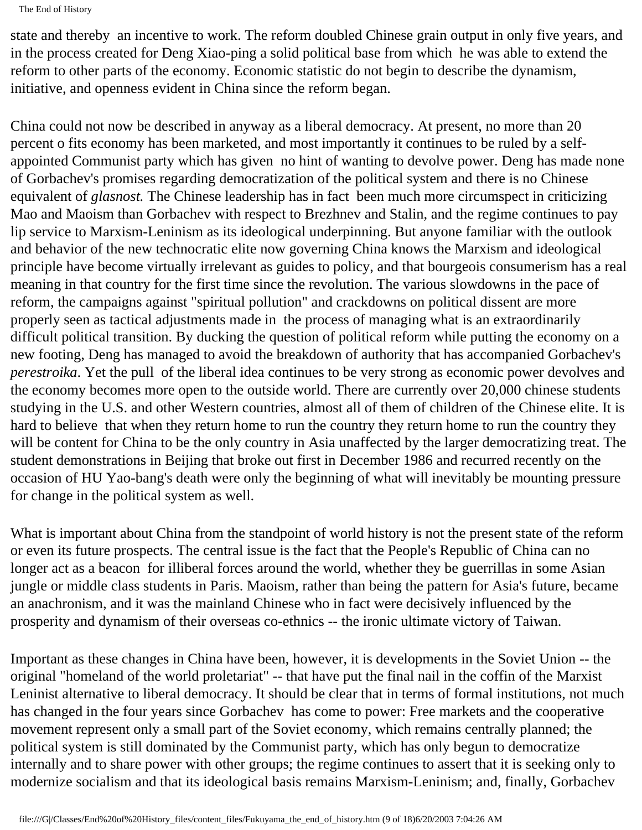The End of History

state and thereby an incentive to work. The reform doubled Chinese grain output in only five years, and in the process created for Deng Xiao-ping a solid political base from which he was able to extend the reform to other parts of the economy. Economic statistic do not begin to describe the dynamism, initiative, and openness evident in China since the reform began.

China could not now be described in anyway as a liberal democracy. At present, no more than 20 percent o fits economy has been marketed, and most importantly it continues to be ruled by a selfappointed Communist party which has given no hint of wanting to devolve power. Deng has made none of Gorbachev's promises regarding democratization of the political system and there is no Chinese equivalent of *glasnost.* The Chinese leadership has in fact been much more circumspect in criticizing Mao and Maoism than Gorbachev with respect to Brezhnev and Stalin, and the regime continues to pay lip service to Marxism-Leninism as its ideological underpinning. But anyone familiar with the outlook and behavior of the new technocratic elite now governing China knows the Marxism and ideological principle have become virtually irrelevant as guides to policy, and that bourgeois consumerism has a real meaning in that country for the first time since the revolution. The various slowdowns in the pace of reform, the campaigns against "spiritual pollution" and crackdowns on political dissent are more properly seen as tactical adjustments made in the process of managing what is an extraordinarily difficult political transition. By ducking the question of political reform while putting the economy on a new footing, Deng has managed to avoid the breakdown of authority that has accompanied Gorbachev's *perestroika*. Yet the pull of the liberal idea continues to be very strong as economic power devolves and the economy becomes more open to the outside world. There are currently over 20,000 chinese students studying in the U.S. and other Western countries, almost all of them of children of the Chinese elite. It is hard to believe that when they return home to run the country they return home to run the country they will be content for China to be the only country in Asia unaffected by the larger democratizing treat. The student demonstrations in Beijing that broke out first in December 1986 and recurred recently on the occasion of HU Yao-bang's death were only the beginning of what will inevitably be mounting pressure for change in the political system as well.

What is important about China from the standpoint of world history is not the present state of the reform or even its future prospects. The central issue is the fact that the People's Republic of China can no longer act as a beacon for illiberal forces around the world, whether they be guerrillas in some Asian jungle or middle class students in Paris. Maoism, rather than being the pattern for Asia's future, became an anachronism, and it was the mainland Chinese who in fact were decisively influenced by the prosperity and dynamism of their overseas co-ethnics -- the ironic ultimate victory of Taiwan.

Important as these changes in China have been, however, it is developments in the Soviet Union -- the original "homeland of the world proletariat" -- that have put the final nail in the coffin of the Marxist Leninist alternative to liberal democracy. It should be clear that in terms of formal institutions, not much has changed in the four years since Gorbachev has come to power: Free markets and the cooperative movement represent only a small part of the Soviet economy, which remains centrally planned; the political system is still dominated by the Communist party, which has only begun to democratize internally and to share power with other groups; the regime continues to assert that it is seeking only to modernize socialism and that its ideological basis remains Marxism-Leninism; and, finally, Gorbachev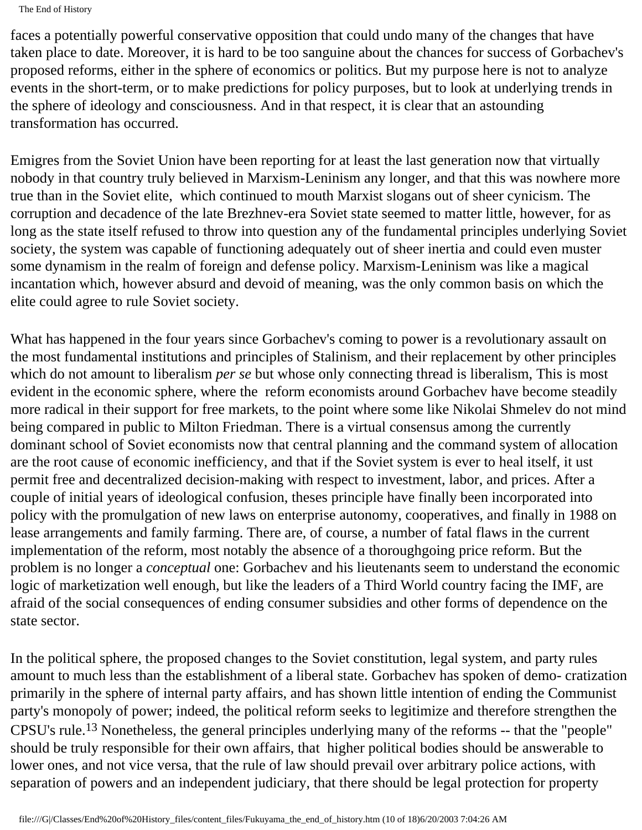The End of History

faces a potentially powerful conservative opposition that could undo many of the changes that have taken place to date. Moreover, it is hard to be too sanguine about the chances for success of Gorbachev's proposed reforms, either in the sphere of economics or politics. But my purpose here is not to analyze events in the short-term, or to make predictions for policy purposes, but to look at underlying trends in the sphere of ideology and consciousness. And in that respect, it is clear that an astounding transformation has occurred.

Emigres from the Soviet Union have been reporting for at least the last generation now that virtually nobody in that country truly believed in Marxism-Leninism any longer, and that this was nowhere more true than in the Soviet elite, which continued to mouth Marxist slogans out of sheer cynicism. The corruption and decadence of the late Brezhnev-era Soviet state seemed to matter little, however, for as long as the state itself refused to throw into question any of the fundamental principles underlying Soviet society, the system was capable of functioning adequately out of sheer inertia and could even muster some dynamism in the realm of foreign and defense policy. Marxism-Leninism was like a magical incantation which, however absurd and devoid of meaning, was the only common basis on which the elite could agree to rule Soviet society.

What has happened in the four years since Gorbachev's coming to power is a revolutionary assault on the most fundamental institutions and principles of Stalinism, and their replacement by other principles which do not amount to liberalism *per se* but whose only connecting thread is liberalism, This is most evident in the economic sphere, where the reform economists around Gorbachev have become steadily more radical in their support for free markets, to the point where some like Nikolai Shmelev do not mind being compared in public to Milton Friedman. There is a virtual consensus among the currently dominant school of Soviet economists now that central planning and the command system of allocation are the root cause of economic inefficiency, and that if the Soviet system is ever to heal itself, it ust permit free and decentralized decision-making with respect to investment, labor, and prices. After a couple of initial years of ideological confusion, theses principle have finally been incorporated into policy with the promulgation of new laws on enterprise autonomy, cooperatives, and finally in 1988 on lease arrangements and family farming. There are, of course, a number of fatal flaws in the current implementation of the reform, most notably the absence of a thoroughgoing price reform. But the problem is no longer a *conceptual* one: Gorbachev and his lieutenants seem to understand the economic logic of marketization well enough, but like the leaders of a Third World country facing the IMF, are afraid of the social consequences of ending consumer subsidies and other forms of dependence on the state sector.

In the political sphere, the proposed changes to the Soviet constitution, legal system, and party rules amount to much less than the establishment of a liberal state. Gorbachev has spoken of demo- cratization primarily in the sphere of internal party affairs, and has shown little intention of ending the Communist party's monopoly of power; indeed, the political reform seeks to legitimize and therefore strengthen the CPSU's rule.13 Nonetheless, the general principles underlying many of the reforms -- that the "people" should be truly responsible for their own affairs, that higher political bodies should be answerable to lower ones, and not vice versa, that the rule of law should prevail over arbitrary police actions, with separation of powers and an independent judiciary, that there should be legal protection for property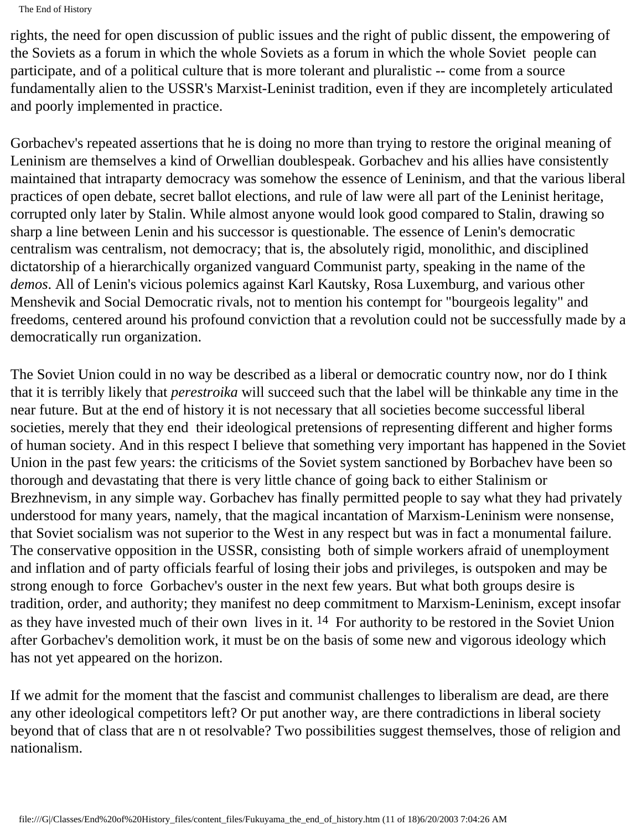The End of History

rights, the need for open discussion of public issues and the right of public dissent, the empowering of the Soviets as a forum in which the whole Soviets as a forum in which the whole Soviet people can participate, and of a political culture that is more tolerant and pluralistic -- come from a source fundamentally alien to the USSR's Marxist-Leninist tradition, even if they are incompletely articulated and poorly implemented in practice.

Gorbachev's repeated assertions that he is doing no more than trying to restore the original meaning of Leninism are themselves a kind of Orwellian doublespeak. Gorbachev and his allies have consistently maintained that intraparty democracy was somehow the essence of Leninism, and that the various liberal practices of open debate, secret ballot elections, and rule of law were all part of the Leninist heritage, corrupted only later by Stalin. While almost anyone would look good compared to Stalin, drawing so sharp a line between Lenin and his successor is questionable. The essence of Lenin's democratic centralism was centralism, not democracy; that is, the absolutely rigid, monolithic, and disciplined dictatorship of a hierarchically organized vanguard Communist party, speaking in the name of the *demos*. All of Lenin's vicious polemics against Karl Kautsky, Rosa Luxemburg, and various other Menshevik and Social Democratic rivals, not to mention his contempt for "bourgeois legality" and freedoms, centered around his profound conviction that a revolution could not be successfully made by a democratically run organization.

The Soviet Union could in no way be described as a liberal or democratic country now, nor do I think that it is terribly likely that *perestroika* will succeed such that the label will be thinkable any time in the near future. But at the end of history it is not necessary that all societies become successful liberal societies, merely that they end their ideological pretensions of representing different and higher forms of human society. And in this respect I believe that something very important has happened in the Soviet Union in the past few years: the criticisms of the Soviet system sanctioned by Borbachev have been so thorough and devastating that there is very little chance of going back to either Stalinism or Brezhnevism, in any simple way. Gorbachev has finally permitted people to say what they had privately understood for many years, namely, that the magical incantation of Marxism-Leninism were nonsense, that Soviet socialism was not superior to the West in any respect but was in fact a monumental failure. The conservative opposition in the USSR, consisting both of simple workers afraid of unemployment and inflation and of party officials fearful of losing their jobs and privileges, is outspoken and may be strong enough to force Gorbachev's ouster in the next few years. But what both groups desire is tradition, order, and authority; they manifest no deep commitment to Marxism-Leninism, except insofar as they have invested much of their own lives in it. <sup>14</sup> For authority to be restored in the Soviet Union after Gorbachev's demolition work, it must be on the basis of some new and vigorous ideology which has not yet appeared on the horizon.

If we admit for the moment that the fascist and communist challenges to liberalism are dead, are there any other ideological competitors left? Or put another way, are there contradictions in liberal society beyond that of class that are n ot resolvable? Two possibilities suggest themselves, those of religion and nationalism.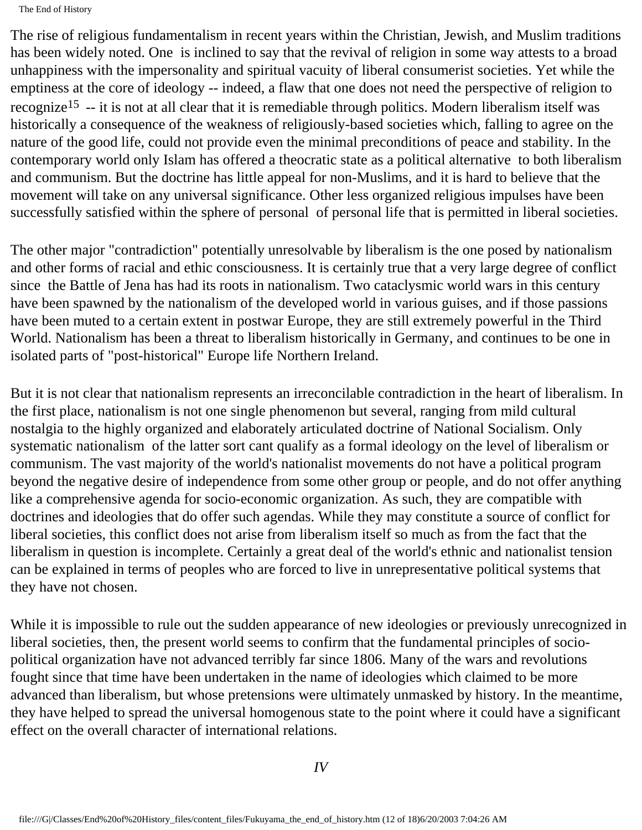The End of History

The rise of religious fundamentalism in recent years within the Christian, Jewish, and Muslim traditions has been widely noted. One is inclined to say that the revival of religion in some way attests to a broad unhappiness with the impersonality and spiritual vacuity of liberal consumerist societies. Yet while the emptiness at the core of ideology -- indeed, a flaw that one does not need the perspective of religion to recognize15 -- it is not at all clear that it is remediable through politics. Modern liberalism itself was historically a consequence of the weakness of religiously-based societies which, falling to agree on the nature of the good life, could not provide even the minimal preconditions of peace and stability. In the contemporary world only Islam has offered a theocratic state as a political alternative to both liberalism and communism. But the doctrine has little appeal for non-Muslims, and it is hard to believe that the movement will take on any universal significance. Other less organized religious impulses have been successfully satisfied within the sphere of personal of personal life that is permitted in liberal societies.

The other major "contradiction" potentially unresolvable by liberalism is the one posed by nationalism and other forms of racial and ethic consciousness. It is certainly true that a very large degree of conflict since the Battle of Jena has had its roots in nationalism. Two cataclysmic world wars in this century have been spawned by the nationalism of the developed world in various guises, and if those passions have been muted to a certain extent in postwar Europe, they are still extremely powerful in the Third World. Nationalism has been a threat to liberalism historically in Germany, and continues to be one in isolated parts of "post-historical" Europe life Northern Ireland.

But it is not clear that nationalism represents an irreconcilable contradiction in the heart of liberalism. In the first place, nationalism is not one single phenomenon but several, ranging from mild cultural nostalgia to the highly organized and elaborately articulated doctrine of National Socialism. Only systematic nationalism of the latter sort cant qualify as a formal ideology on the level of liberalism or communism. The vast majority of the world's nationalist movements do not have a political program beyond the negative desire of independence from some other group or people, and do not offer anything like a comprehensive agenda for socio-economic organization. As such, they are compatible with doctrines and ideologies that do offer such agendas. While they may constitute a source of conflict for liberal societies, this conflict does not arise from liberalism itself so much as from the fact that the liberalism in question is incomplete. Certainly a great deal of the world's ethnic and nationalist tension can be explained in terms of peoples who are forced to live in unrepresentative political systems that they have not chosen.

While it is impossible to rule out the sudden appearance of new ideologies or previously unrecognized in liberal societies, then, the present world seems to confirm that the fundamental principles of sociopolitical organization have not advanced terribly far since 1806. Many of the wars and revolutions fought since that time have been undertaken in the name of ideologies which claimed to be more advanced than liberalism, but whose pretensions were ultimately unmasked by history. In the meantime, they have helped to spread the universal homogenous state to the point where it could have a significant effect on the overall character of international relations.

*IV*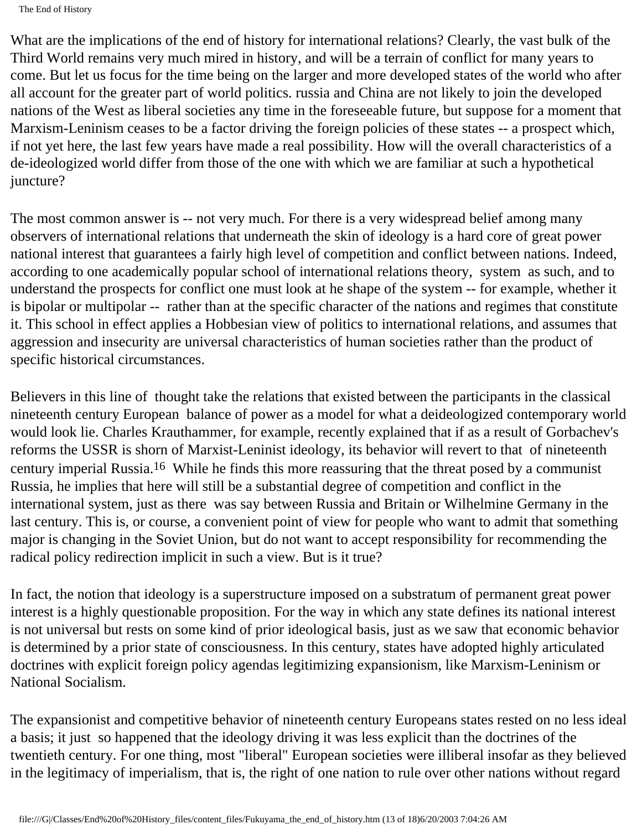The End of History

What are the implications of the end of history for international relations? Clearly, the vast bulk of the Third World remains very much mired in history, and will be a terrain of conflict for many years to come. But let us focus for the time being on the larger and more developed states of the world who after all account for the greater part of world politics. russia and China are not likely to join the developed nations of the West as liberal societies any time in the foreseeable future, but suppose for a moment that Marxism-Leninism ceases to be a factor driving the foreign policies of these states -- a prospect which, if not yet here, the last few years have made a real possibility. How will the overall characteristics of a de-ideologized world differ from those of the one with which we are familiar at such a hypothetical juncture?

The most common answer is -- not very much. For there is a very widespread belief among many observers of international relations that underneath the skin of ideology is a hard core of great power national interest that guarantees a fairly high level of competition and conflict between nations. Indeed, according to one academically popular school of international relations theory, system as such, and to understand the prospects for conflict one must look at he shape of the system -- for example, whether it is bipolar or multipolar -- rather than at the specific character of the nations and regimes that constitute it. This school in effect applies a Hobbesian view of politics to international relations, and assumes that aggression and insecurity are universal characteristics of human societies rather than the product of specific historical circumstances.

Believers in this line of thought take the relations that existed between the participants in the classical nineteenth century European balance of power as a model for what a deideologized contemporary world would look lie. Charles Krauthammer, for example, recently explained that if as a result of Gorbachev's reforms the USSR is shorn of Marxist-Leninist ideology, its behavior will revert to that of nineteenth century imperial Russia.16 While he finds this more reassuring that the threat posed by a communist Russia, he implies that here will still be a substantial degree of competition and conflict in the international system, just as there was say between Russia and Britain or Wilhelmine Germany in the last century. This is, or course, a convenient point of view for people who want to admit that something major is changing in the Soviet Union, but do not want to accept responsibility for recommending the radical policy redirection implicit in such a view. But is it true?

In fact, the notion that ideology is a superstructure imposed on a substratum of permanent great power interest is a highly questionable proposition. For the way in which any state defines its national interest is not universal but rests on some kind of prior ideological basis, just as we saw that economic behavior is determined by a prior state of consciousness. In this century, states have adopted highly articulated doctrines with explicit foreign policy agendas legitimizing expansionism, like Marxism-Leninism or National Socialism.

The expansionist and competitive behavior of nineteenth century Europeans states rested on no less ideal a basis; it just so happened that the ideology driving it was less explicit than the doctrines of the twentieth century. For one thing, most "liberal" European societies were illiberal insofar as they believed in the legitimacy of imperialism, that is, the right of one nation to rule over other nations without regard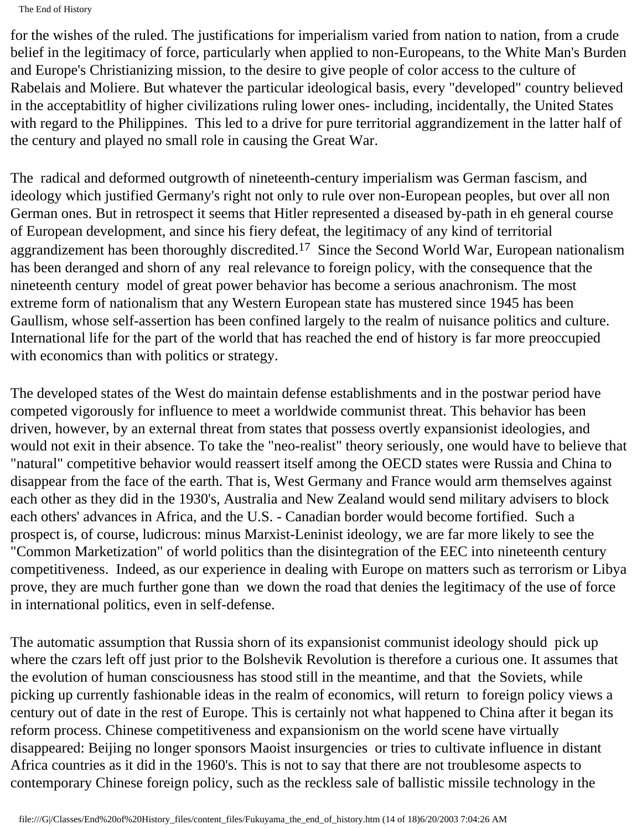The End of History

for the wishes of the ruled. The justifications for imperialism varied from nation to nation, from a crude belief in the legitimacy of force, particularly when applied to non-Europeans, to the White Man's Burden and Europe's Christianizing mission, to the desire to give people of color access to the culture of Rabelais and Moliere. But whatever the particular ideological basis, every "developed" country believed in the acceptabitlity of higher civilizations ruling lower ones- including, incidentally, the United States with regard to the Philippines. This led to a drive for pure territorial aggrandizement in the latter half of the century and played no small role in causing the Great War.

The radical and deformed outgrowth of nineteenth-century imperialism was German fascism, and ideology which justified Germany's right not only to rule over non-European peoples, but over all non German ones. But in retrospect it seems that Hitler represented a diseased by-path in eh general course of European development, and since his fiery defeat, the legitimacy of any kind of territorial aggrandizement has been thoroughly discredited.<sup>17</sup> Since the Second World War, European nationalism has been deranged and shorn of any real relevance to foreign policy, with the consequence that the nineteenth century model of great power behavior has become a serious anachronism. The most extreme form of nationalism that any Western European state has mustered since 1945 has been Gaullism, whose self-assertion has been confined largely to the realm of nuisance politics and culture. International life for the part of the world that has reached the end of history is far more preoccupied with economics than with politics or strategy.

The developed states of the West do maintain defense establishments and in the postwar period have competed vigorously for influence to meet a worldwide communist threat. This behavior has been driven, however, by an external threat from states that possess overtly expansionist ideologies, and would not exit in their absence. To take the "neo-realist" theory seriously, one would have to believe that "natural" competitive behavior would reassert itself among the OECD states were Russia and China to disappear from the face of the earth. That is, West Germany and France would arm themselves against each other as they did in the 1930's, Australia and New Zealand would send military advisers to block each others' advances in Africa, and the U.S. - Canadian border would become fortified. Such a prospect is, of course, ludicrous: minus Marxist-Leninist ideology, we are far more likely to see the "Common Marketization" of world politics than the disintegration of the EEC into nineteenth century competitiveness. Indeed, as our experience in dealing with Europe on matters such as terrorism or Libya prove, they are much further gone than we down the road that denies the legitimacy of the use of force in international politics, even in self-defense.

The automatic assumption that Russia shorn of its expansionist communist ideology should pick up where the czars left off just prior to the Bolshevik Revolution is therefore a curious one. It assumes that the evolution of human consciousness has stood still in the meantime, and that the Soviets, while picking up currently fashionable ideas in the realm of economics, will return to foreign policy views a century out of date in the rest of Europe. This is certainly not what happened to China after it began its reform process. Chinese competitiveness and expansionism on the world scene have virtually disappeared: Beijing no longer sponsors Maoist insurgencies or tries to cultivate influence in distant Africa countries as it did in the 1960's. This is not to say that there are not troublesome aspects to contemporary Chinese foreign policy, such as the reckless sale of ballistic missile technology in the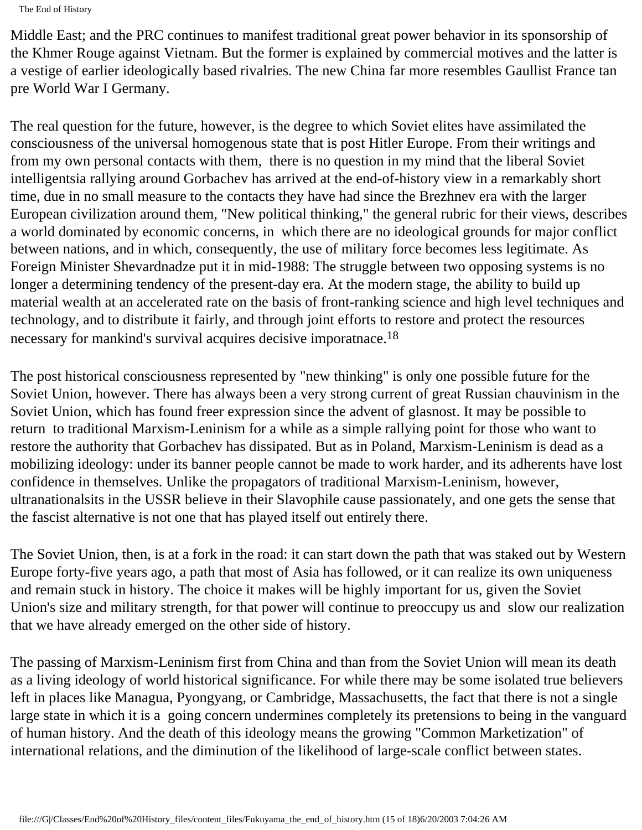The End of History

Middle East; and the PRC continues to manifest traditional great power behavior in its sponsorship of the Khmer Rouge against Vietnam. But the former is explained by commercial motives and the latter is a vestige of earlier ideologically based rivalries. The new China far more resembles Gaullist France tan pre World War I Germany.

The real question for the future, however, is the degree to which Soviet elites have assimilated the consciousness of the universal homogenous state that is post Hitler Europe. From their writings and from my own personal contacts with them, there is no question in my mind that the liberal Soviet intelligentsia rallying around Gorbachev has arrived at the end-of-history view in a remarkably short time, due in no small measure to the contacts they have had since the Brezhnev era with the larger European civilization around them, "New political thinking," the general rubric for their views, describes a world dominated by economic concerns, in which there are no ideological grounds for major conflict between nations, and in which, consequently, the use of military force becomes less legitimate. As Foreign Minister Shevardnadze put it in mid-1988: The struggle between two opposing systems is no longer a determining tendency of the present-day era. At the modern stage, the ability to build up material wealth at an accelerated rate on the basis of front-ranking science and high level techniques and technology, and to distribute it fairly, and through joint efforts to restore and protect the resources necessary for mankind's survival acquires decisive imporatnace.18

The post historical consciousness represented by "new thinking" is only one possible future for the Soviet Union, however. There has always been a very strong current of great Russian chauvinism in the Soviet Union, which has found freer expression since the advent of glasnost. It may be possible to return to traditional Marxism-Leninism for a while as a simple rallying point for those who want to restore the authority that Gorbachev has dissipated. But as in Poland, Marxism-Leninism is dead as a mobilizing ideology: under its banner people cannot be made to work harder, and its adherents have lost confidence in themselves. Unlike the propagators of traditional Marxism-Leninism, however, ultranationalsits in the USSR believe in their Slavophile cause passionately, and one gets the sense that the fascist alternative is not one that has played itself out entirely there.

The Soviet Union, then, is at a fork in the road: it can start down the path that was staked out by Western Europe forty-five years ago, a path that most of Asia has followed, or it can realize its own uniqueness and remain stuck in history. The choice it makes will be highly important for us, given the Soviet Union's size and military strength, for that power will continue to preoccupy us and slow our realization that we have already emerged on the other side of history.

The passing of Marxism-Leninism first from China and than from the Soviet Union will mean its death as a living ideology of world historical significance. For while there may be some isolated true believers left in places like Managua, Pyongyang, or Cambridge, Massachusetts, the fact that there is not a single large state in which it is a going concern undermines completely its pretensions to being in the vanguard of human history. And the death of this ideology means the growing "Common Marketization" of international relations, and the diminution of the likelihood of large-scale conflict between states.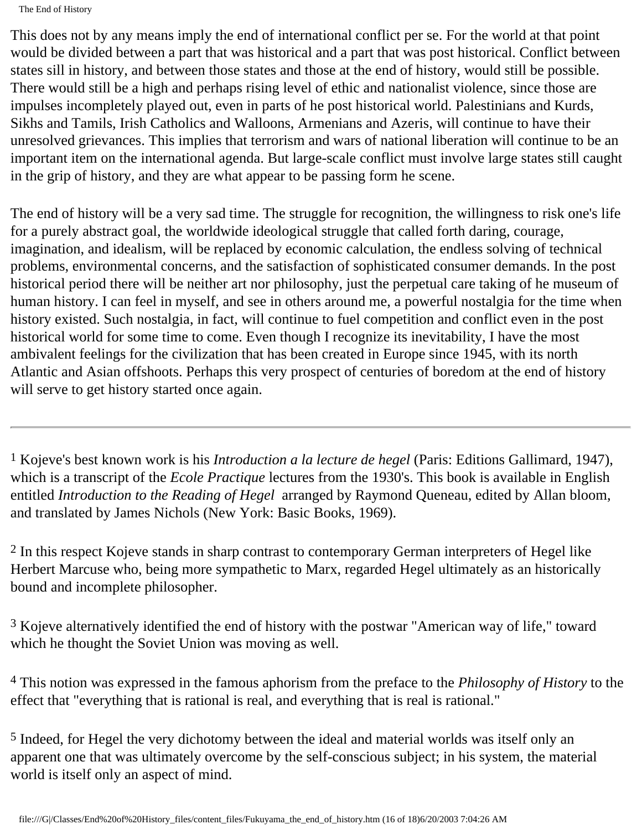The End of History

This does not by any means imply the end of international conflict per se. For the world at that point would be divided between a part that was historical and a part that was post historical. Conflict between states sill in history, and between those states and those at the end of history, would still be possible. There would still be a high and perhaps rising level of ethic and nationalist violence, since those are impulses incompletely played out, even in parts of he post historical world. Palestinians and Kurds, Sikhs and Tamils, Irish Catholics and Walloons, Armenians and Azeris, will continue to have their unresolved grievances. This implies that terrorism and wars of national liberation will continue to be an important item on the international agenda. But large-scale conflict must involve large states still caught in the grip of history, and they are what appear to be passing form he scene.

The end of history will be a very sad time. The struggle for recognition, the willingness to risk one's life for a purely abstract goal, the worldwide ideological struggle that called forth daring, courage, imagination, and idealism, will be replaced by economic calculation, the endless solving of technical problems, environmental concerns, and the satisfaction of sophisticated consumer demands. In the post historical period there will be neither art nor philosophy, just the perpetual care taking of he museum of human history. I can feel in myself, and see in others around me, a powerful nostalgia for the time when history existed. Such nostalgia, in fact, will continue to fuel competition and conflict even in the post historical world for some time to come. Even though I recognize its inevitability, I have the most ambivalent feelings for the civilization that has been created in Europe since 1945, with its north Atlantic and Asian offshoots. Perhaps this very prospect of centuries of boredom at the end of history will serve to get history started once again.

1 Kojeve's best known work is his *Introduction a la lecture de hegel* (Paris: Editions Gallimard, 1947), which is a transcript of the *Ecole Practique* lectures from the 1930's. This book is available in English entitled *Introduction to the Reading of Hegel* arranged by Raymond Queneau, edited by Allan bloom, and translated by James Nichols (New York: Basic Books, 1969).

<sup>2</sup> In this respect Kojeve stands in sharp contrast to contemporary German interpreters of Hegel like Herbert Marcuse who, being more sympathetic to Marx, regarded Hegel ultimately as an historically bound and incomplete philosopher.

<sup>3</sup> Kojeve alternatively identified the end of history with the postwar "American way of life," toward which he thought the Soviet Union was moving as well.

4 This notion was expressed in the famous aphorism from the preface to the *Philosophy of History* to the effect that "everything that is rational is real, and everything that is real is rational."

<sup>5</sup> Indeed, for Hegel the very dichotomy between the ideal and material worlds was itself only an apparent one that was ultimately overcome by the self-conscious subject; in his system, the material world is itself only an aspect of mind.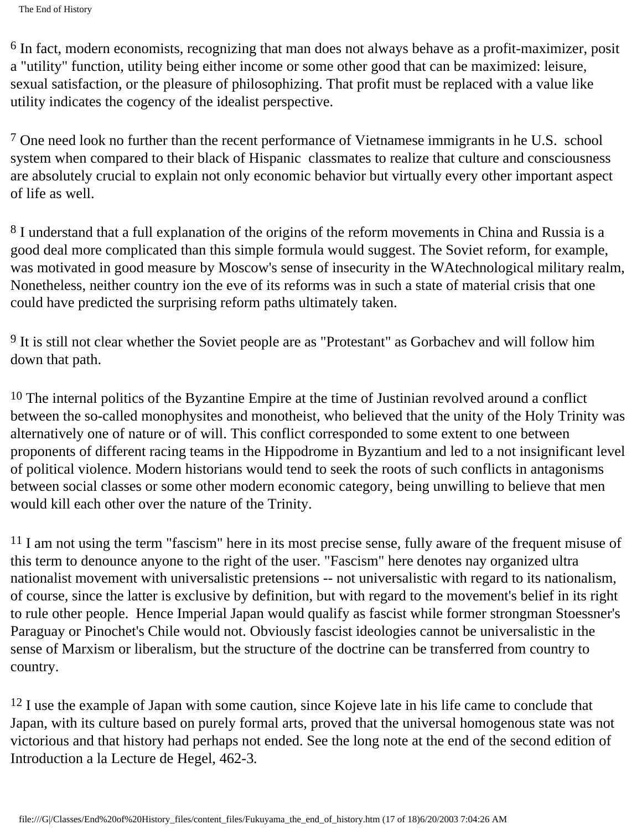The End of History

<sup>6</sup> In fact, modern economists, recognizing that man does not always behave as a profit-maximizer, posit a "utility" function, utility being either income or some other good that can be maximized: leisure, sexual satisfaction, or the pleasure of philosophizing. That profit must be replaced with a value like utility indicates the cogency of the idealist perspective.

 $7$  One need look no further than the recent performance of Vietnamese immigrants in he U.S. school system when compared to their black of Hispanic classmates to realize that culture and consciousness are absolutely crucial to explain not only economic behavior but virtually every other important aspect of life as well.

8 I understand that a full explanation of the origins of the reform movements in China and Russia is a good deal more complicated than this simple formula would suggest. The Soviet reform, for example, was motivated in good measure by Moscow's sense of insecurity in the WAtechnological military realm, Nonetheless, neither country ion the eve of its reforms was in such a state of material crisis that one could have predicted the surprising reform paths ultimately taken.

<sup>9</sup> It is still not clear whether the Soviet people are as "Protestant" as Gorbachev and will follow him down that path.

10 The internal politics of the Byzantine Empire at the time of Justinian revolved around a conflict between the so-called monophysites and monotheist, who believed that the unity of the Holy Trinity was alternatively one of nature or of will. This conflict corresponded to some extent to one between proponents of different racing teams in the Hippodrome in Byzantium and led to a not insignificant level of political violence. Modern historians would tend to seek the roots of such conflicts in antagonisms between social classes or some other modern economic category, being unwilling to believe that men would kill each other over the nature of the Trinity.

<sup>11</sup> I am not using the term "fascism" here in its most precise sense, fully aware of the frequent misuse of this term to denounce anyone to the right of the user. "Fascism" here denotes nay organized ultra nationalist movement with universalistic pretensions -- not universalistic with regard to its nationalism, of course, since the latter is exclusive by definition, but with regard to the movement's belief in its right to rule other people. Hence Imperial Japan would qualify as fascist while former strongman Stoessner's Paraguay or Pinochet's Chile would not. Obviously fascist ideologies cannot be universalistic in the sense of Marxism or liberalism, but the structure of the doctrine can be transferred from country to country.

<sup>12</sup> I use the example of Japan with some caution, since Kojeve late in his life came to conclude that Japan, with its culture based on purely formal arts, proved that the universal homogenous state was not victorious and that history had perhaps not ended. See the long note at the end of the second edition of Introduction a la Lecture de Hegel, 462-3*.*